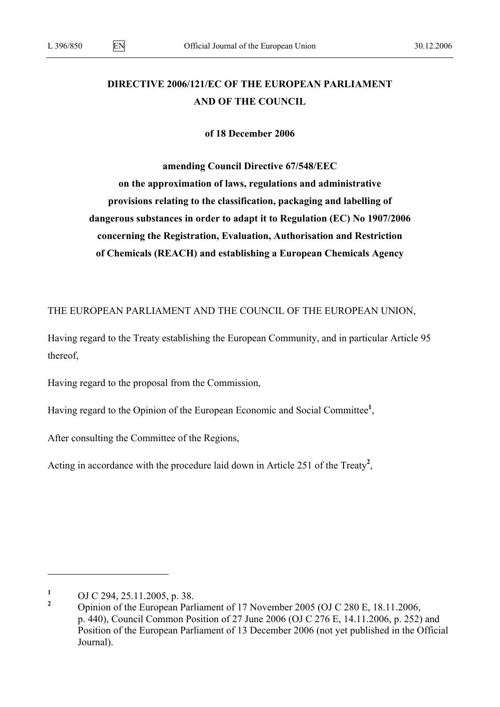# **DIRECTIVE 2006/121/EC OF THE EUROPEAN PARLIAMENT AND OF THE COUNCIL**

**of 18 December 2006** 

**amending Council Directive 67/548/EEC** 

**on the approximation of laws, regulations and administrative provisions relating to the classification, packaging and labelling of dangerous substances in order to adapt it to Regulation (EC) No 1907/2006 concerning the Registration, Evaluation, Authorisation and Restriction of Chemicals (REACH) and establishing a European Chemicals Agency** 

THE EUROPEAN PARLIAMENT AND THE COUNCIL OF THE EUROPEAN UNION,

Having regard to the Treaty establishing the European Community, and in particular Article 95 thereof,

Having regard to the proposal from the Commission,

Having regard to the Opinion of the European Economic and Social Committee**<sup>1</sup>** ,

After consulting the Committee of the Regions,

Acting in accordance with the procedure laid down in Article 251 of the Treaty**<sup>2</sup>** ,

 $\overline{a}$ 

**<sup>1</sup>** OJ C 294, 25.11.2005, p. 38.

**<sup>2</sup>** Opinion of the European Parliament of 17 November 2005 (OJ C 280 E, 18.11.2006, p. 440), Council Common Position of 27 June 2006 (OJ C 276 E, 14.11.2006, p. 252) and Position of the European Parliament of 13 December 2006 (not yet published in the Official Journal).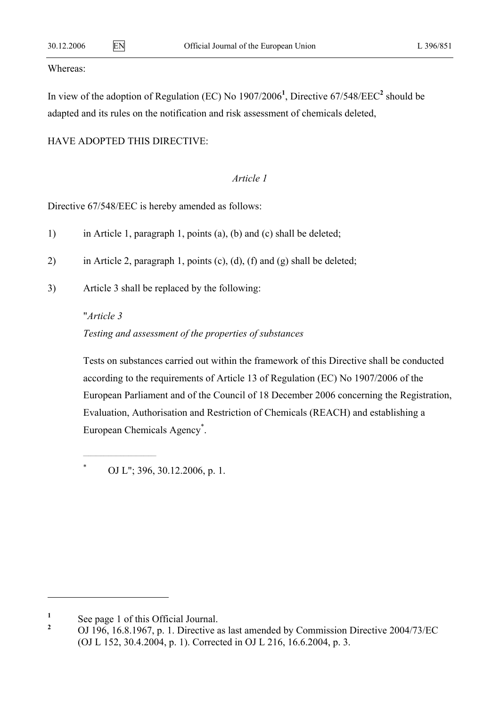#### Whereas:

In view of the adoption of Regulation (EC) No 1907/2006**<sup>1</sup>** , Directive 67/548/EEC**<sup>2</sup>** should be adapted and its rules on the notification and risk assessment of chemicals deleted,

HAVE ADOPTED THIS DIRECTIVE:

## *Article 1*

Directive 67/548/EEC is hereby amended as follows:

1) in Article 1, paragraph 1, points (a), (b) and (c) shall be deleted;

2) in Article 2, paragraph 1, points (c), (d), (f) and (g) shall be deleted;

3) Article 3 shall be replaced by the following:

## "*Article 3*

\*

 $\overline{a}$ 

## *Testing and assessment of the properties of substances*

Tests on substances carried out within the framework of this Directive shall be conducted according to the requirements of Article 13 of Regulation (EC) No 1907/2006 of the European Parliament and of the Council of 18 December 2006 concerning the Registration, Evaluation, Authorisation and Restriction of Chemicals (REACH) and establishing a European Chemicals Agency\* .

OJ L"; 396, 30.12.2006, p. 1.

**<sup>1</sup>** See page 1 of this Official Journal.

**<sup>2</sup>** OJ 196, 16.8.1967, p. 1. Directive as last amended by Commission Directive 2004/73/EC (OJ L 152, 30.4.2004, p. 1). Corrected in OJ L 216, 16.6.2004, p. 3.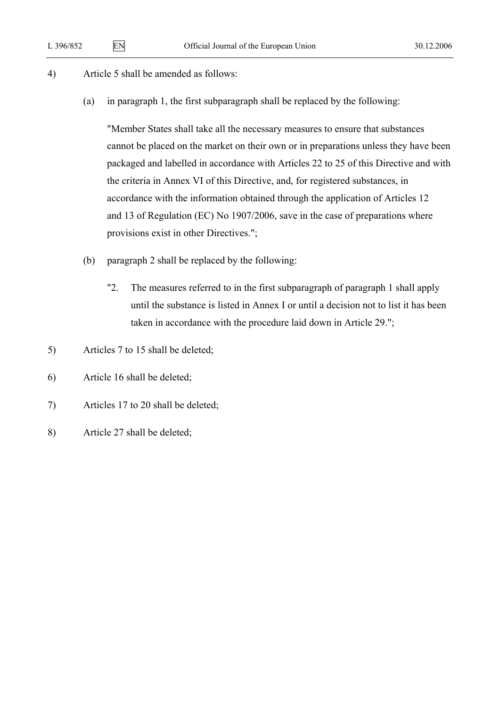- 4) Article 5 shall be amended as follows:
	- (a) in paragraph 1, the first subparagraph shall be replaced by the following:

"Member States shall take all the necessary measures to ensure that substances cannot be placed on the market on their own or in preparations unless they have been packaged and labelled in accordance with Articles 22 to 25 of this Directive and with the criteria in Annex VI of this Directive, and, for registered substances, in accordance with the information obtained through the application of Articles 12 and 13 of Regulation (EC) No 1907/2006, save in the case of preparations where provisions exist in other Directives.";

- (b) paragraph 2 shall be replaced by the following:
	- "2. The measures referred to in the first subparagraph of paragraph 1 shall apply until the substance is listed in Annex I or until a decision not to list it has been taken in accordance with the procedure laid down in Article 29.";
- 5) Articles 7 to 15 shall be deleted;
- 6) Article 16 shall be deleted;
- 7) Articles 17 to 20 shall be deleted;
- 8) Article 27 shall be deleted;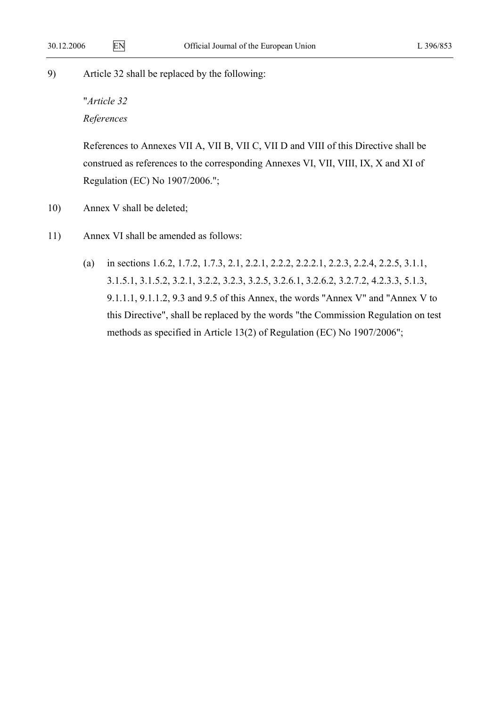9) Article 32 shall be replaced by the following:

 "*Article 32 References*

References to Annexes VII A, VII B, VII C, VII D and VIII of this Directive shall be construed as references to the corresponding Annexes VI, VII, VIII, IX, X and XI of Regulation (EC) No 1907/2006.";

- 10) Annex V shall be deleted;
- 11) Annex VI shall be amended as follows:
	- (a) in sections 1.6.2, 1.7.2, 1.7.3, 2.1, 2.2.1, 2.2.2, 2.2.2.1, 2.2.3, 2.2.4, 2.2.5, 3.1.1, 3.1.5.1, 3.1.5.2, 3.2.1, 3.2.2, 3.2.3, 3.2.5, 3.2.6.1, 3.2.6.2, 3.2.7.2, 4.2.3.3, 5.1.3, 9.1.1.1, 9.1.1.2, 9.3 and 9.5 of this Annex, the words "Annex V" and "Annex V to this Directive", shall be replaced by the words "the Commission Regulation on test methods as specified in Article 13(2) of Regulation (EC) No 1907/2006";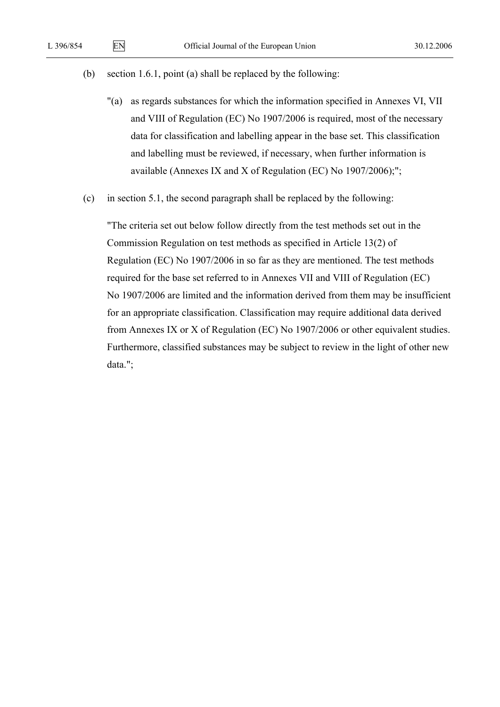- (b) section 1.6.1, point (a) shall be replaced by the following:
	- "(a) as regards substances for which the information specified in Annexes VI, VII and VIII of Regulation (EC) No 1907/2006 is required, most of the necessary data for classification and labelling appear in the base set. This classification and labelling must be reviewed, if necessary, when further information is available (Annexes IX and X of Regulation (EC) No 1907/2006);";
- (c) in section 5.1, the second paragraph shall be replaced by the following:

"The criteria set out below follow directly from the test methods set out in the Commission Regulation on test methods as specified in Article 13(2) of Regulation (EC) No 1907/2006 in so far as they are mentioned. The test methods required for the base set referred to in Annexes VII and VIII of Regulation (EC) No 1907/2006 are limited and the information derived from them may be insufficient for an appropriate classification. Classification may require additional data derived from Annexes IX or X of Regulation (EC) No 1907/2006 or other equivalent studies. Furthermore, classified substances may be subject to review in the light of other new data.";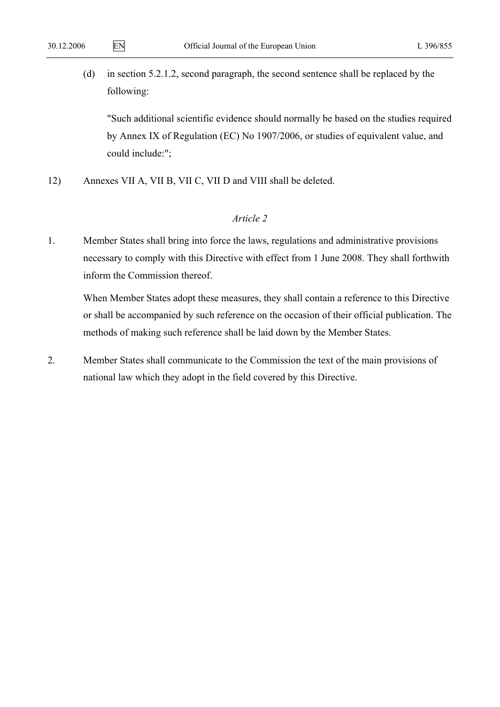(d) in section 5.2.1.2, second paragraph, the second sentence shall be replaced by the following:

"Such additional scientific evidence should normally be based on the studies required by Annex IX of Regulation (EC) No 1907/2006, or studies of equivalent value, and could include:";

12) Annexes VII A, VII B, VII C, VII D and VIII shall be deleted.

#### *Article 2*

1. Member States shall bring into force the laws, regulations and administrative provisions necessary to comply with this Directive with effect from 1 June 2008. They shall forthwith inform the Commission thereof.

When Member States adopt these measures, they shall contain a reference to this Directive or shall be accompanied by such reference on the occasion of their official publication. The methods of making such reference shall be laid down by the Member States.

2. Member States shall communicate to the Commission the text of the main provisions of national law which they adopt in the field covered by this Directive.